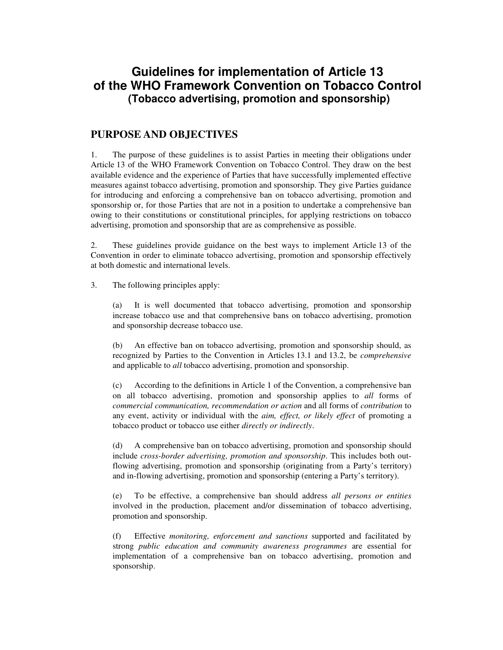# **Guidelines for implementation of Article 13 of the WHO Framework Convention on Tobacco Control (Tobacco advertising, promotion and sponsorship)**

## **PURPOSE AND OBJECTIVES**

1. The purpose of these guidelines is to assist Parties in meeting their obligations under Article 13 of the WHO Framework Convention on Tobacco Control. They draw on the best available evidence and the experience of Parties that have successfully implemented effective measures against tobacco advertising, promotion and sponsorship. They give Parties guidance for introducing and enforcing a comprehensive ban on tobacco advertising, promotion and sponsorship or, for those Parties that are not in a position to undertake a comprehensive ban owing to their constitutions or constitutional principles, for applying restrictions on tobacco advertising, promotion and sponsorship that are as comprehensive as possible.

2. These guidelines provide guidance on the best ways to implement Article 13 of the Convention in order to eliminate tobacco advertising, promotion and sponsorship effectively at both domestic and international levels.

3. The following principles apply:

(a) It is well documented that tobacco advertising, promotion and sponsorship increase tobacco use and that comprehensive bans on tobacco advertising, promotion and sponsorship decrease tobacco use.

(b) An effective ban on tobacco advertising, promotion and sponsorship should, as recognized by Parties to the Convention in Articles 13.1 and 13.2, be *comprehensive*  and applicable to *all* tobacco advertising, promotion and sponsorship.

(c) According to the definitions in Article 1 of the Convention, a comprehensive ban on all tobacco advertising, promotion and sponsorship applies to *all* forms of *commercial communication, recommendation or action* and all forms of *contribution* to any event, activity or individual with the *aim, effect, or likely effect* of promoting a tobacco product or tobacco use either *directly or indirectly*.

(d) A comprehensive ban on tobacco advertising, promotion and sponsorship should include *cross-border advertising, promotion and sponsorship*. This includes both outflowing advertising, promotion and sponsorship (originating from a Party's territory) and in-flowing advertising, promotion and sponsorship (entering a Party's territory).

(e) To be effective, a comprehensive ban should address *all persons or entities*  involved in the production, placement and/or dissemination of tobacco advertising, promotion and sponsorship.

(f) Effective *monitoring, enforcement and sanctions* supported and facilitated by strong *public education and community awareness programmes* are essential for implementation of a comprehensive ban on tobacco advertising, promotion and sponsorship.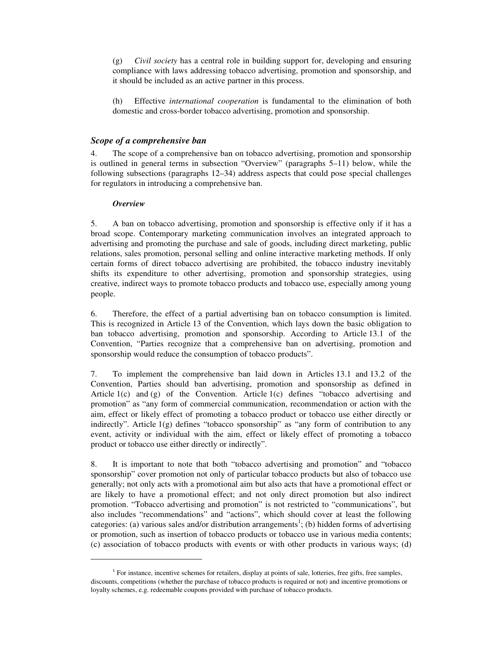(g) *Civil society* has a central role in building support for, developing and ensuring compliance with laws addressing tobacco advertising, promotion and sponsorship, and it should be included as an active partner in this process.

(h) Effective *international cooperation* is fundamental to the elimination of both domestic and cross-border tobacco advertising, promotion and sponsorship.

## *Scope of a comprehensive ban*

4. The scope of a comprehensive ban on tobacco advertising, promotion and sponsorship is outlined in general terms in subsection "Overview" (paragraphs 5–11) below, while the following subsections (paragraphs 12–34) address aspects that could pose special challenges for regulators in introducing a comprehensive ban.

## *Overview*

-

5. A ban on tobacco advertising, promotion and sponsorship is effective only if it has a broad scope. Contemporary marketing communication involves an integrated approach to advertising and promoting the purchase and sale of goods, including direct marketing, public relations, sales promotion, personal selling and online interactive marketing methods. If only certain forms of direct tobacco advertising are prohibited, the tobacco industry inevitably shifts its expenditure to other advertising, promotion and sponsorship strategies, using creative, indirect ways to promote tobacco products and tobacco use, especially among young people.

6. Therefore, the effect of a partial advertising ban on tobacco consumption is limited. This is recognized in Article 13 of the Convention, which lays down the basic obligation to ban tobacco advertising, promotion and sponsorship. According to Article 13.1 of the Convention, "Parties recognize that a comprehensive ban on advertising, promotion and sponsorship would reduce the consumption of tobacco products".

7. To implement the comprehensive ban laid down in Articles 13.1 and 13.2 of the Convention, Parties should ban advertising, promotion and sponsorship as defined in Article  $1(c)$  and  $(g)$  of the Convention. Article  $1(c)$  defines "tobacco advertising and promotion" as "any form of commercial communication, recommendation or action with the aim, effect or likely effect of promoting a tobacco product or tobacco use either directly or indirectly". Article 1(g) defines "tobacco sponsorship" as "any form of contribution to any event, activity or individual with the aim, effect or likely effect of promoting a tobacco product or tobacco use either directly or indirectly".

8. It is important to note that both "tobacco advertising and promotion" and "tobacco sponsorship" cover promotion not only of particular tobacco products but also of tobacco use generally; not only acts with a promotional aim but also acts that have a promotional effect or are likely to have a promotional effect; and not only direct promotion but also indirect promotion. "Tobacco advertising and promotion" is not restricted to "communications", but also includes "recommendations" and "actions", which should cover at least the following categories: (a) various sales and/or distribution arrangements<sup>1</sup>; (b) hidden forms of advertising or promotion, such as insertion of tobacco products or tobacco use in various media contents; (c) association of tobacco products with events or with other products in various ways; (d)

<sup>&</sup>lt;sup>1</sup> For instance, incentive schemes for retailers, display at points of sale, lotteries, free gifts, free samples, discounts, competitions (whether the purchase of tobacco products is required or not) and incentive promotions or loyalty schemes, e.g. redeemable coupons provided with purchase of tobacco products.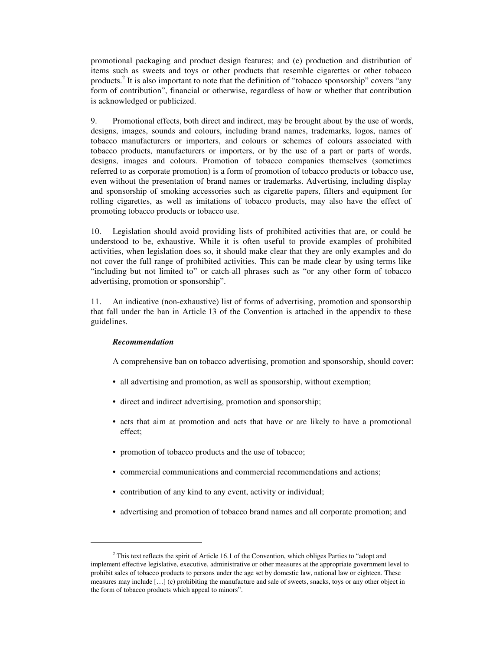promotional packaging and product design features; and (e) production and distribution of items such as sweets and toys or other products that resemble cigarettes or other tobacco products.<sup>2</sup> It is also important to note that the definition of "tobacco sponsorship" covers "any form of contribution", financial or otherwise, regardless of how or whether that contribution is acknowledged or publicized.

9. Promotional effects, both direct and indirect, may be brought about by the use of words, designs, images, sounds and colours, including brand names, trademarks, logos, names of tobacco manufacturers or importers, and colours or schemes of colours associated with tobacco products, manufacturers or importers, or by the use of a part or parts of words, designs, images and colours. Promotion of tobacco companies themselves (sometimes referred to as corporate promotion) is a form of promotion of tobacco products or tobacco use, even without the presentation of brand names or trademarks. Advertising, including display and sponsorship of smoking accessories such as cigarette papers, filters and equipment for rolling cigarettes, as well as imitations of tobacco products, may also have the effect of promoting tobacco products or tobacco use.

10. Legislation should avoid providing lists of prohibited activities that are, or could be understood to be, exhaustive. While it is often useful to provide examples of prohibited activities, when legislation does so, it should make clear that they are only examples and do not cover the full range of prohibited activities. This can be made clear by using terms like "including but not limited to" or catch-all phrases such as "or any other form of tobacco advertising, promotion or sponsorship".

11. An indicative (non-exhaustive) list of forms of advertising, promotion and sponsorship that fall under the ban in Article 13 of the Convention is attached in the appendix to these guidelines.

#### *Recommendation*

-

A comprehensive ban on tobacco advertising, promotion and sponsorship, should cover:

- all advertising and promotion, as well as sponsorship, without exemption;
- direct and indirect advertising, promotion and sponsorship;
- acts that aim at promotion and acts that have or are likely to have a promotional effect;
- promotion of tobacco products and the use of tobacco;
- commercial communications and commercial recommendations and actions;
- contribution of any kind to any event, activity or individual;
- advertising and promotion of tobacco brand names and all corporate promotion; and

 $2$  This text reflects the spirit of Article 16.1 of the Convention, which obliges Parties to "adopt and implement effective legislative, executive, administrative or other measures at the appropriate government level to prohibit sales of tobacco products to persons under the age set by domestic law, national law or eighteen. These measures may include […] (c) prohibiting the manufacture and sale of sweets, snacks, toys or any other object in the form of tobacco products which appeal to minors".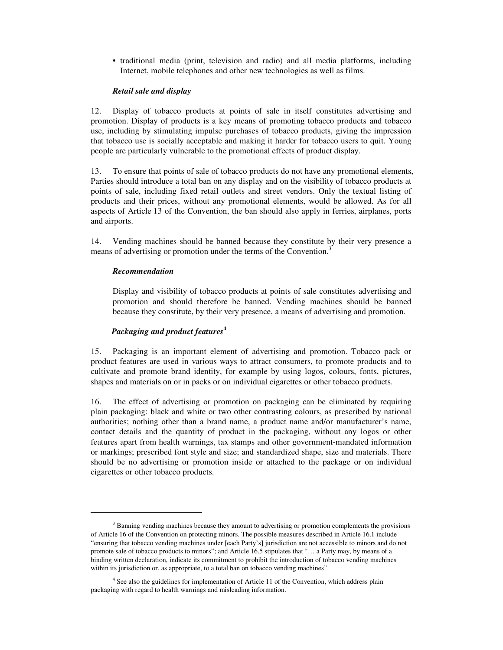• traditional media (print, television and radio) and all media platforms, including Internet, mobile telephones and other new technologies as well as films.

#### *Retail sale and display*

12. Display of tobacco products at points of sale in itself constitutes advertising and promotion. Display of products is a key means of promoting tobacco products and tobacco use, including by stimulating impulse purchases of tobacco products, giving the impression that tobacco use is socially acceptable and making it harder for tobacco users to quit. Young people are particularly vulnerable to the promotional effects of product display.

13. To ensure that points of sale of tobacco products do not have any promotional elements, Parties should introduce a total ban on any display and on the visibility of tobacco products at points of sale, including fixed retail outlets and street vendors. Only the textual listing of products and their prices, without any promotional elements, would be allowed. As for all aspects of Article 13 of the Convention, the ban should also apply in ferries, airplanes, ports and airports.

14. Vending machines should be banned because they constitute by their very presence a means of advertising or promotion under the terms of the Convention.<sup>3</sup>

#### *Recommendation*

-

Display and visibility of tobacco products at points of sale constitutes advertising and promotion and should therefore be banned. Vending machines should be banned because they constitute, by their very presence, a means of advertising and promotion.

#### *Packaging and product features***<sup>4</sup>**

15. Packaging is an important element of advertising and promotion. Tobacco pack or product features are used in various ways to attract consumers, to promote products and to cultivate and promote brand identity, for example by using logos, colours, fonts, pictures, shapes and materials on or in packs or on individual cigarettes or other tobacco products.

16. The effect of advertising or promotion on packaging can be eliminated by requiring plain packaging: black and white or two other contrasting colours, as prescribed by national authorities; nothing other than a brand name, a product name and/or manufacturer's name, contact details and the quantity of product in the packaging, without any logos or other features apart from health warnings, tax stamps and other government-mandated information or markings; prescribed font style and size; and standardized shape, size and materials. There should be no advertising or promotion inside or attached to the package or on individual cigarettes or other tobacco products.

<sup>&</sup>lt;sup>3</sup> Banning vending machines because they amount to advertising or promotion complements the provisions of Article 16 of the Convention on protecting minors. The possible measures described in Article 16.1 include "ensuring that tobacco vending machines under [each Party's] jurisdiction are not accessible to minors and do not promote sale of tobacco products to minors"; and Article 16.5 stipulates that "… a Party may, by means of a binding written declaration, indicate its commitment to prohibit the introduction of tobacco vending machines within its jurisdiction or, as appropriate, to a total ban on tobacco vending machines".

<sup>&</sup>lt;sup>4</sup> See also the guidelines for implementation of Article 11 of the Convention, which address plain packaging with regard to health warnings and misleading information.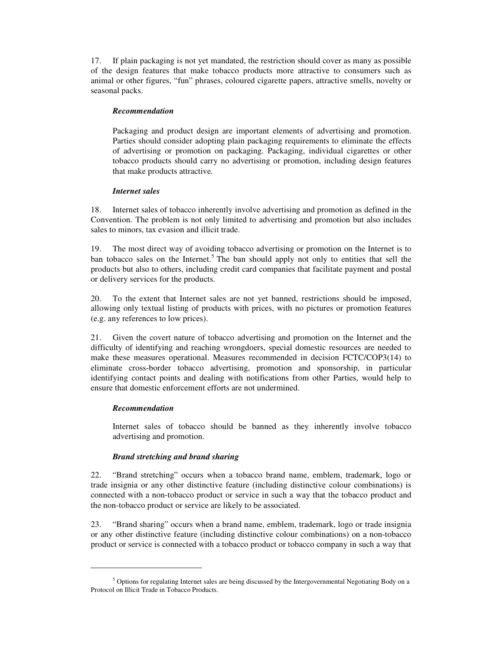17. If plain packaging is not yet mandated, the restriction should cover as many as possible of the design features that make tobacco products more attractive to consumers such as animal or other figures, "fun" phrases, coloured cigarette papers, attractive smells, novelty or seasonal packs.

## *Recommendation*

Packaging and product design are important elements of advertising and promotion. Parties should consider adopting plain packaging requirements to eliminate the effects of advertising or promotion on packaging. Packaging, individual cigarettes or other tobacco products should carry no advertising or promotion, including design features that make products attractive*.*

#### *Internet sales*

18. Internet sales of tobacco inherently involve advertising and promotion as defined in the Convention. The problem is not only limited to advertising and promotion but also includes sales to minors, tax evasion and illicit trade.

19. The most direct way of avoiding tobacco advertising or promotion on the Internet is to ban tobacco sales on the Internet.<sup>5</sup> The ban should apply not only to entities that sell the products but also to others, including credit card companies that facilitate payment and postal or delivery services for the products.

20. To the extent that Internet sales are not yet banned, restrictions should be imposed, allowing only textual listing of products with prices, with no pictures or promotion features (e.g. any references to low prices).

21. Given the covert nature of tobacco advertising and promotion on the Internet and the difficulty of identifying and reaching wrongdoers, special domestic resources are needed to make these measures operational. Measures recommended in decision FCTC/COP3(14) to eliminate cross-border tobacco advertising, promotion and sponsorship, in particular identifying contact points and dealing with notifications from other Parties, would help to ensure that domestic enforcement efforts are not undermined.

## *Recommendation*

-

Internet sales of tobacco should be banned as they inherently involve tobacco advertising and promotion.

## *Brand stretching and brand sharing*

22. "Brand stretching" occurs when a tobacco brand name, emblem, trademark, logo or trade insignia or any other distinctive feature (including distinctive colour combinations) is connected with a non-tobacco product or service in such a way that the tobacco product and the non-tobacco product or service are likely to be associated.

23. "Brand sharing" occurs when a brand name, emblem, trademark, logo or trade insignia or any other distinctive feature (including distinctive colour combinations) on a non-tobacco product or service is connected with a tobacco product or tobacco company in such a way that

<sup>&</sup>lt;sup>5</sup> Options for regulating Internet sales are being discussed by the Intergovernmental Negotiating Body on a Protocol on Illicit Trade in Tobacco Products.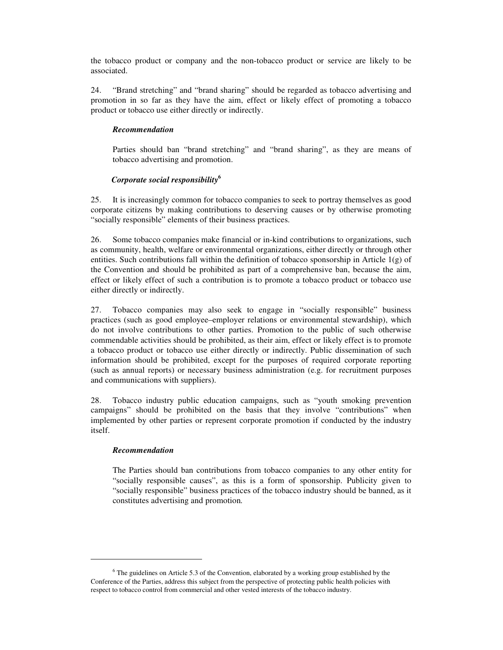the tobacco product or company and the non-tobacco product or service are likely to be associated.

24. "Brand stretching" and "brand sharing" should be regarded as tobacco advertising and promotion in so far as they have the aim, effect or likely effect of promoting a tobacco product or tobacco use either directly or indirectly.

## *Recommendation*

Parties should ban "brand stretching" and "brand sharing", as they are means of tobacco advertising and promotion.

#### *Corporate social responsibility***<sup>6</sup>**

25. It is increasingly common for tobacco companies to seek to portray themselves as good corporate citizens by making contributions to deserving causes or by otherwise promoting "socially responsible" elements of their business practices.

26. Some tobacco companies make financial or in-kind contributions to organizations, such as community, health, welfare or environmental organizations, either directly or through other entities. Such contributions fall within the definition of tobacco sponsorship in Article  $1(g)$  of the Convention and should be prohibited as part of a comprehensive ban, because the aim, effect or likely effect of such a contribution is to promote a tobacco product or tobacco use either directly or indirectly.

27. Tobacco companies may also seek to engage in "socially responsible" business practices (such as good employee–employer relations or environmental stewardship), which do not involve contributions to other parties. Promotion to the public of such otherwise commendable activities should be prohibited, as their aim, effect or likely effect is to promote a tobacco product or tobacco use either directly or indirectly. Public dissemination of such information should be prohibited, except for the purposes of required corporate reporting (such as annual reports) or necessary business administration (e.g. for recruitment purposes and communications with suppliers).

28. Tobacco industry public education campaigns, such as "youth smoking prevention campaigns" should be prohibited on the basis that they involve "contributions" when implemented by other parties or represent corporate promotion if conducted by the industry itself.

#### *Recommendation*

-

The Parties should ban contributions from tobacco companies to any other entity for "socially responsible causes", as this is a form of sponsorship. Publicity given to "socially responsible" business practices of the tobacco industry should be banned, as it constitutes advertising and promotion*.* 

<sup>&</sup>lt;sup>6</sup> The guidelines on Article 5.3 of the Convention, elaborated by a working group established by the Conference of the Parties, address this subject from the perspective of protecting public health policies with respect to tobacco control from commercial and other vested interests of the tobacco industry.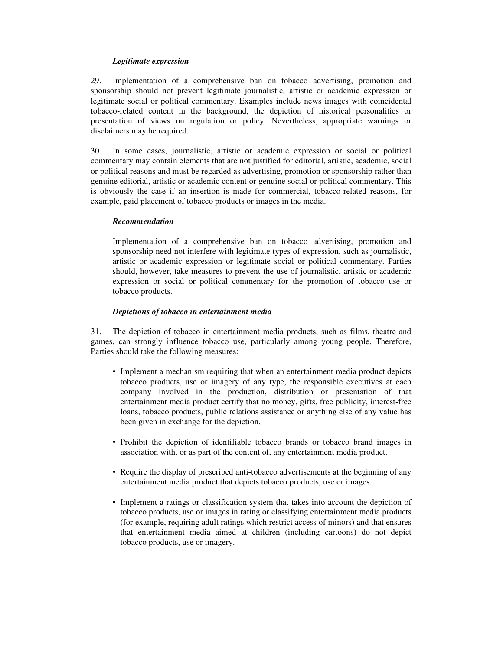## *Legitimate expression*

29. Implementation of a comprehensive ban on tobacco advertising, promotion and sponsorship should not prevent legitimate journalistic, artistic or academic expression or legitimate social or political commentary. Examples include news images with coincidental tobacco-related content in the background, the depiction of historical personalities or presentation of views on regulation or policy. Nevertheless, appropriate warnings or disclaimers may be required.

30. In some cases, journalistic, artistic or academic expression or social or political commentary may contain elements that are not justified for editorial, artistic, academic, social or political reasons and must be regarded as advertising, promotion or sponsorship rather than genuine editorial, artistic or academic content or genuine social or political commentary. This is obviously the case if an insertion is made for commercial, tobacco-related reasons, for example, paid placement of tobacco products or images in the media.

## *Recommendation*

Implementation of a comprehensive ban on tobacco advertising, promotion and sponsorship need not interfere with legitimate types of expression, such as journalistic, artistic or academic expression or legitimate social or political commentary. Parties should, however, take measures to prevent the use of journalistic, artistic or academic expression or social or political commentary for the promotion of tobacco use or tobacco products.

## *Depictions of tobacco in entertainment media*

31. The depiction of tobacco in entertainment media products, such as films, theatre and games, can strongly influence tobacco use, particularly among young people. Therefore, Parties should take the following measures:

- Implement a mechanism requiring that when an entertainment media product depicts tobacco products, use or imagery of any type, the responsible executives at each company involved in the production, distribution or presentation of that entertainment media product certify that no money, gifts, free publicity, interest-free loans, tobacco products, public relations assistance or anything else of any value has been given in exchange for the depiction.
- Prohibit the depiction of identifiable tobacco brands or tobacco brand images in association with, or as part of the content of, any entertainment media product.
- Require the display of prescribed anti-tobacco advertisements at the beginning of any entertainment media product that depicts tobacco products, use or images.
- Implement a ratings or classification system that takes into account the depiction of tobacco products, use or images in rating or classifying entertainment media products (for example, requiring adult ratings which restrict access of minors) and that ensures that entertainment media aimed at children (including cartoons) do not depict tobacco products, use or imagery.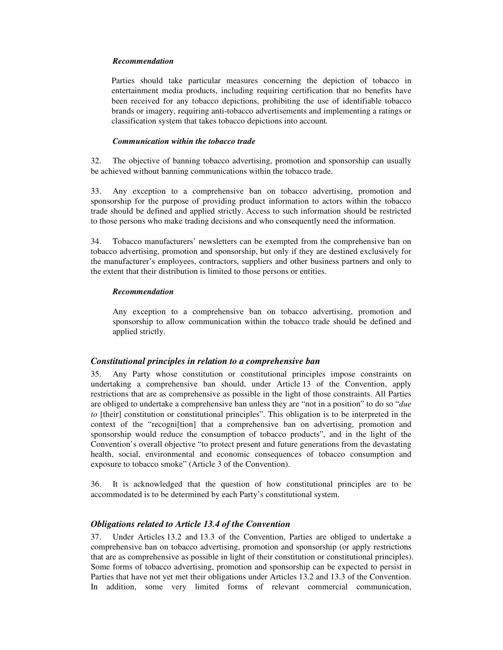#### *Recommendation*

Parties should take particular measures concerning the depiction of tobacco in entertainment media products, including requiring certification that no benefits have been received for any tobacco depictions, prohibiting the use of identifiable tobacco brands or imagery, requiring anti-tobacco advertisements and implementing a ratings or classification system that takes tobacco depictions into account*.*

#### *Communication within the tobacco trade*

32. The objective of banning tobacco advertising, promotion and sponsorship can usually be achieved without banning communications within the tobacco trade.

33. Any exception to a comprehensive ban on tobacco advertising, promotion and sponsorship for the purpose of providing product information to actors within the tobacco trade should be defined and applied strictly. Access to such information should be restricted to those persons who make trading decisions and who consequently need the information.

34. Tobacco manufacturers' newsletters can be exempted from the comprehensive ban on tobacco advertising, promotion and sponsorship, but only if they are destined exclusively for the manufacturer's employees, contractors, suppliers and other business partners and only to the extent that their distribution is limited to those persons or entities.

#### *Recommendation*

Any exception to a comprehensive ban on tobacco advertising, promotion and sponsorship to allow communication within the tobacco trade should be defined and applied strictly.

#### *Constitutional principles in relation to a comprehensive ban*

35. Any Party whose constitution or constitutional principles impose constraints on undertaking a comprehensive ban should, under Article 13 of the Convention, apply restrictions that are as comprehensive as possible in the light of those constraints. All Parties are obliged to undertake a comprehensive ban unless they are "not in a position" to do so "*due to* [their] constitution or constitutional principles". This obligation is to be interpreted in the context of the "recogni[tion] that a comprehensive ban on advertising, promotion and sponsorship would reduce the consumption of tobacco products", and in the light of the Convention's overall objective "to protect present and future generations from the devastating health, social, environmental and economic consequences of tobacco consumption and exposure to tobacco smoke" (Article 3 of the Convention).

36. It is acknowledged that the question of how constitutional principles are to be accommodated is to be determined by each Party's constitutional system.

#### *Obligations related to Article 13.4 of the Convention*

37. Under Articles 13.2 and 13.3 of the Convention, Parties are obliged to undertake a comprehensive ban on tobacco advertising, promotion and sponsorship (or apply restrictions that are as comprehensive as possible in light of their constitution or constitutional principles). Some forms of tobacco advertising, promotion and sponsorship can be expected to persist in Parties that have not yet met their obligations under Articles 13.2 and 13.3 of the Convention. In addition, some very limited forms of relevant commercial communication,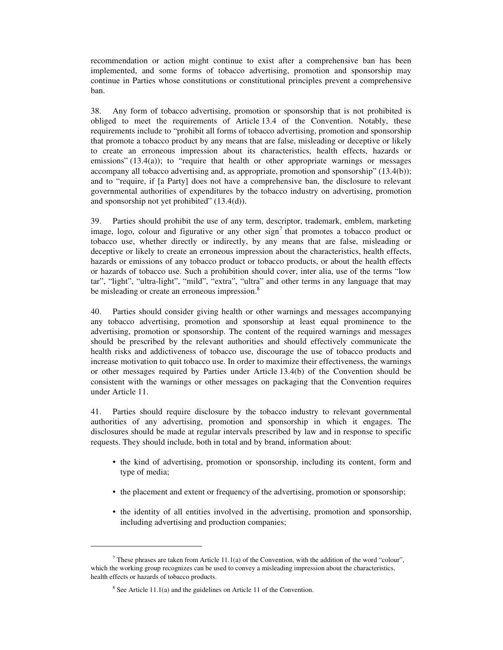recommendation or action might continue to exist after a comprehensive ban has been implemented, and some forms of tobacco advertising, promotion and sponsorship may continue in Parties whose constitutions or constitutional principles prevent a comprehensive ban.

38. Any form of tobacco advertising, promotion or sponsorship that is not prohibited is obliged to meet the requirements of Article 13.4 of the Convention. Notably, these requirements include to "prohibit all forms of tobacco advertising, promotion and sponsorship that promote a tobacco product by any means that are false, misleading or deceptive or likely to create an erroneous impression about its characteristics, health effects, hazards or emissions" (13.4(a)); to "require that health or other appropriate warnings or messages accompany all tobacco advertising and, as appropriate, promotion and sponsorship" (13.4(b)); and to "require, if [a Party] does not have a comprehensive ban, the disclosure to relevant governmental authorities of expenditures by the tobacco industry on advertising, promotion and sponsorship not yet prohibited" (13.4(d)).

39. Parties should prohibit the use of any term, descriptor, trademark, emblem, marketing image, logo, colour and figurative or any other  $sign^7$  that promotes a tobacco product or tobacco use, whether directly or indirectly, by any means that are false, misleading or deceptive or likely to create an erroneous impression about the characteristics, health effects, hazards or emissions of any tobacco product or tobacco products, or about the health effects or hazards of tobacco use. Such a prohibition should cover, inter alia, use of the terms "low tar", "light", "ultra-light", "mild", "extra", "ultra" and other terms in any language that may be misleading or create an erroneous impression.<sup>8</sup>

40. Parties should consider giving health or other warnings and messages accompanying any tobacco advertising, promotion and sponsorship at least equal prominence to the advertising, promotion or sponsorship. The content of the required warnings and messages should be prescribed by the relevant authorities and should effectively communicate the health risks and addictiveness of tobacco use, discourage the use of tobacco products and increase motivation to quit tobacco use. In order to maximize their effectiveness, the warnings or other messages required by Parties under Article 13.4(b) of the Convention should be consistent with the warnings or other messages on packaging that the Convention requires under Article 11.

41. Parties should require disclosure by the tobacco industry to relevant governmental authorities of any advertising, promotion and sponsorship in which it engages. The disclosures should be made at regular intervals prescribed by law and in response to specific requests. They should include, both in total and by brand, information about:

- the kind of advertising, promotion or sponsorship, including its content, form and type of media;
- the placement and extent or frequency of the advertising, promotion or sponsorship;
- the identity of all entities involved in the advertising, promotion and sponsorship, including advertising and production companies;

-

<sup>&</sup>lt;sup>7</sup> These phrases are taken from Article 11.1(a) of the Convention, with the addition of the word "colour", which the working group recognizes can be used to convey a misleading impression about the characteristics, health effects or hazards of tobacco products.

 $8$  See Article 11.1(a) and the guidelines on Article 11 of the Convention.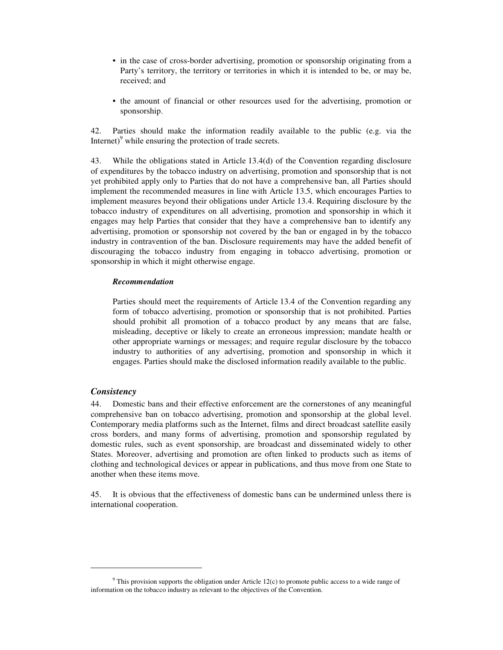- in the case of cross-border advertising, promotion or sponsorship originating from a Party's territory, the territory or territories in which it is intended to be, or may be, received; and
- the amount of financial or other resources used for the advertising, promotion or sponsorship.

42. Parties should make the information readily available to the public (e.g. via the Internet)<sup>9</sup> while ensuring the protection of trade secrets.

43. While the obligations stated in Article 13.4(d) of the Convention regarding disclosure of expenditures by the tobacco industry on advertising, promotion and sponsorship that is not yet prohibited apply only to Parties that do not have a comprehensive ban, all Parties should implement the recommended measures in line with Article 13.5, which encourages Parties to implement measures beyond their obligations under Article 13.4. Requiring disclosure by the tobacco industry of expenditures on all advertising, promotion and sponsorship in which it engages may help Parties that consider that they have a comprehensive ban to identify any advertising, promotion or sponsorship not covered by the ban or engaged in by the tobacco industry in contravention of the ban. Disclosure requirements may have the added benefit of discouraging the tobacco industry from engaging in tobacco advertising, promotion or sponsorship in which it might otherwise engage.

#### *Recommendation*

Parties should meet the requirements of Article 13.4 of the Convention regarding any form of tobacco advertising, promotion or sponsorship that is not prohibited. Parties should prohibit all promotion of a tobacco product by any means that are false, misleading, deceptive or likely to create an erroneous impression; mandate health or other appropriate warnings or messages; and require regular disclosure by the tobacco industry to authorities of any advertising, promotion and sponsorship in which it engages. Parties should make the disclosed information readily available to the public.

#### *Consistency*

-

44. Domestic bans and their effective enforcement are the cornerstones of any meaningful comprehensive ban on tobacco advertising, promotion and sponsorship at the global level. Contemporary media platforms such as the Internet, films and direct broadcast satellite easily cross borders, and many forms of advertising, promotion and sponsorship regulated by domestic rules, such as event sponsorship, are broadcast and disseminated widely to other States. Moreover, advertising and promotion are often linked to products such as items of clothing and technological devices or appear in publications, and thus move from one State to another when these items move.

45. It is obvious that the effectiveness of domestic bans can be undermined unless there is international cooperation.

 $9$  This provision supports the obligation under Article 12(c) to promote public access to a wide range of information on the tobacco industry as relevant to the objectives of the Convention.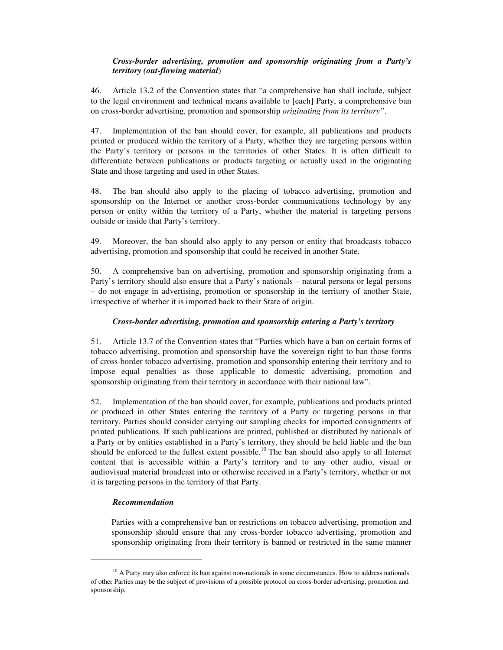## *Cross-border advertising, promotion and sponsorship originating from a Party's territory (out-flowing material*)

46. Article 13.2 of the Convention states that "a comprehensive ban shall include, subject to the legal environment and technical means available to [each] Party, a comprehensive ban on cross-border advertising, promotion and sponsorship *originating from its territory"*.

47. Implementation of the ban should cover, for example, all publications and products printed or produced within the territory of a Party, whether they are targeting persons within the Party's territory or persons in the territories of other States. It is often difficult to differentiate between publications or products targeting or actually used in the originating State and those targeting and used in other States.

48. The ban should also apply to the placing of tobacco advertising, promotion and sponsorship on the Internet or another cross-border communications technology by any person or entity within the territory of a Party, whether the material is targeting persons outside or inside that Party's territory.

49. Moreover, the ban should also apply to any person or entity that broadcasts tobacco advertising, promotion and sponsorship that could be received in another State.

50. A comprehensive ban on advertising, promotion and sponsorship originating from a Party's territory should also ensure that a Party's nationals – natural persons or legal persons – do not engage in advertising, promotion or sponsorship in the territory of another State, irrespective of whether it is imported back to their State of origin.

## *Cross-border advertising, promotion and sponsorship entering a Party's territory*

51. Article 13.7 of the Convention states that "Parties which have a ban on certain forms of tobacco advertising, promotion and sponsorship have the sovereign right to ban those forms of cross-border tobacco advertising, promotion and sponsorship entering their territory and to impose equal penalties as those applicable to domestic advertising, promotion and sponsorship originating from their territory in accordance with their national law".

52. Implementation of the ban should cover, for example, publications and products printed or produced in other States entering the territory of a Party or targeting persons in that territory. Parties should consider carrying out sampling checks for imported consignments of printed publications. If such publications are printed, published or distributed by nationals of a Party or by entities established in a Party's territory, they should be held liable and the ban should be enforced to the fullest extent possible.<sup>10</sup> The ban should also apply to all Internet content that is accessible within a Party's territory and to any other audio, visual or audiovisual material broadcast into or otherwise received in a Party's territory, whether or not it is targeting persons in the territory of that Party.

#### *Recommendation*

-

Parties with a comprehensive ban or restrictions on tobacco advertising, promotion and sponsorship should ensure that any cross-border tobacco advertising, promotion and sponsorship originating from their territory is banned or restricted in the same manner

 $10$  A Party may also enforce its ban against non-nationals in some circumstances. How to address nationals of other Parties may be the subject of provisions of a possible protocol on cross-border advertising, promotion and sponsorship.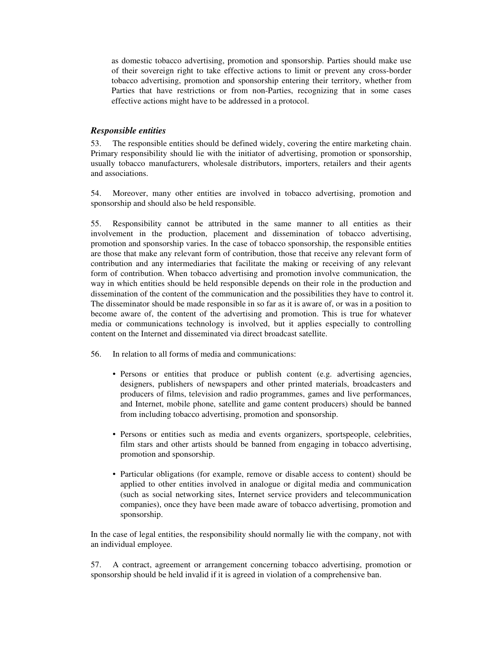as domestic tobacco advertising, promotion and sponsorship. Parties should make use of their sovereign right to take effective actions to limit or prevent any cross-border tobacco advertising, promotion and sponsorship entering their territory, whether from Parties that have restrictions or from non-Parties, recognizing that in some cases effective actions might have to be addressed in a protocol.

## *Responsible entities*

53. The responsible entities should be defined widely, covering the entire marketing chain. Primary responsibility should lie with the initiator of advertising, promotion or sponsorship, usually tobacco manufacturers, wholesale distributors, importers, retailers and their agents and associations.

54. Moreover, many other entities are involved in tobacco advertising, promotion and sponsorship and should also be held responsible.

55. Responsibility cannot be attributed in the same manner to all entities as their involvement in the production, placement and dissemination of tobacco advertising, promotion and sponsorship varies. In the case of tobacco sponsorship, the responsible entities are those that make any relevant form of contribution, those that receive any relevant form of contribution and any intermediaries that facilitate the making or receiving of any relevant form of contribution. When tobacco advertising and promotion involve communication, the way in which entities should be held responsible depends on their role in the production and dissemination of the content of the communication and the possibilities they have to control it. The disseminator should be made responsible in so far as it is aware of, or was in a position to become aware of, the content of the advertising and promotion. This is true for whatever media or communications technology is involved, but it applies especially to controlling content on the Internet and disseminated via direct broadcast satellite.

- 56. In relation to all forms of media and communications:
	- Persons or entities that produce or publish content (e.g. advertising agencies, designers, publishers of newspapers and other printed materials, broadcasters and producers of films, television and radio programmes, games and live performances, and Internet, mobile phone, satellite and game content producers) should be banned from including tobacco advertising, promotion and sponsorship.
	- Persons or entities such as media and events organizers, sportspeople, celebrities, film stars and other artists should be banned from engaging in tobacco advertising, promotion and sponsorship.
	- Particular obligations (for example, remove or disable access to content) should be applied to other entities involved in analogue or digital media and communication (such as social networking sites, Internet service providers and telecommunication companies), once they have been made aware of tobacco advertising, promotion and sponsorship.

In the case of legal entities, the responsibility should normally lie with the company, not with an individual employee.

57. A contract, agreement or arrangement concerning tobacco advertising, promotion or sponsorship should be held invalid if it is agreed in violation of a comprehensive ban.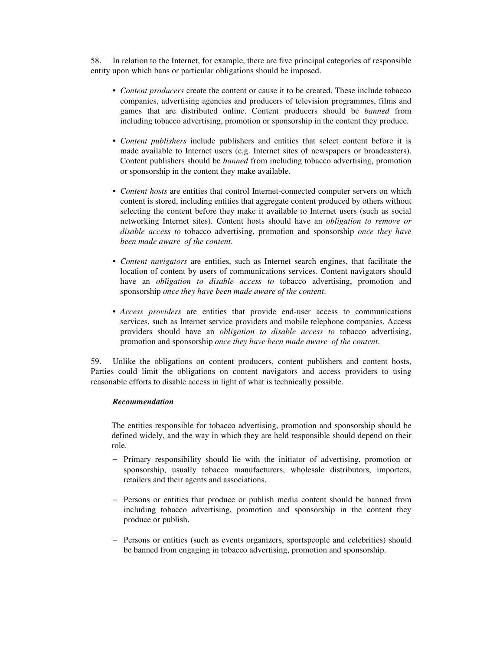58. In relation to the Internet, for example, there are five principal categories of responsible entity upon which bans or particular obligations should be imposed.

- *Content producers* create the content or cause it to be created. These include tobacco companies, advertising agencies and producers of television programmes, films and games that are distributed online. Content producers should be *banned* from including tobacco advertising, promotion or sponsorship in the content they produce.
- *Content publishers* include publishers and entities that select content before it is made available to Internet users (e.g. Internet sites of newspapers or broadcasters). Content publishers should be *banned* from including tobacco advertising, promotion or sponsorship in the content they make available.
- *Content hosts* are entities that control Internet-connected computer servers on which content is stored, including entities that aggregate content produced by others without selecting the content before they make it available to Internet users (such as social networking Internet sites). Content hosts should have an *obligation to remove or disable access to* tobacco advertising, promotion and sponsorship *once they have been made aware of the content*.
- *Content navigators* are entities, such as Internet search engines, that facilitate the location of content by users of communications services. Content navigators should have an *obligation to disable access to* tobacco advertising, promotion and sponsorship *once they have been made aware of the content*.
- *Access providers* are entities that provide end-user access to communications services, such as Internet service providers and mobile telephone companies. Access providers should have an *obligation to disable access to* tobacco advertising, promotion and sponsorship *once they have been made aware of the content*.

59. Unlike the obligations on content producers, content publishers and content hosts, Parties could limit the obligations on content navigators and access providers to using reasonable efforts to disable access in light of what is technically possible.

## *Recommendation*

The entities responsible for tobacco advertising, promotion and sponsorship should be defined widely, and the way in which they are held responsible should depend on their role.

- − Primary responsibility should lie with the initiator of advertising, promotion or sponsorship, usually tobacco manufacturers, wholesale distributors, importers, retailers and their agents and associations.
- − Persons or entities that produce or publish media content should be banned from including tobacco advertising, promotion and sponsorship in the content they produce or publish.
- − Persons or entities (such as events organizers, sportspeople and celebrities) should be banned from engaging in tobacco advertising, promotion and sponsorship.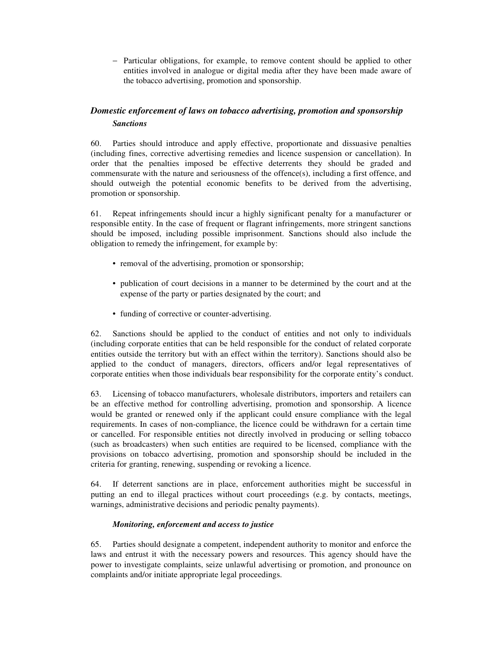− Particular obligations, for example, to remove content should be applied to other entities involved in analogue or digital media after they have been made aware of the tobacco advertising, promotion and sponsorship.

## *Domestic enforcement of laws on tobacco advertising, promotion and sponsorship Sanctions*

60. Parties should introduce and apply effective, proportionate and dissuasive penalties (including fines, corrective advertising remedies and licence suspension or cancellation). In order that the penalties imposed be effective deterrents they should be graded and commensurate with the nature and seriousness of the offence(s), including a first offence, and should outweigh the potential economic benefits to be derived from the advertising, promotion or sponsorship.

61. Repeat infringements should incur a highly significant penalty for a manufacturer or responsible entity. In the case of frequent or flagrant infringements, more stringent sanctions should be imposed, including possible imprisonment. Sanctions should also include the obligation to remedy the infringement, for example by:

- removal of the advertising, promotion or sponsorship;
- publication of court decisions in a manner to be determined by the court and at the expense of the party or parties designated by the court; and
- funding of corrective or counter-advertising.

62. Sanctions should be applied to the conduct of entities and not only to individuals (including corporate entities that can be held responsible for the conduct of related corporate entities outside the territory but with an effect within the territory). Sanctions should also be applied to the conduct of managers, directors, officers and/or legal representatives of corporate entities when those individuals bear responsibility for the corporate entity's conduct.

63. Licensing of tobacco manufacturers, wholesale distributors, importers and retailers can be an effective method for controlling advertising, promotion and sponsorship. A licence would be granted or renewed only if the applicant could ensure compliance with the legal requirements. In cases of non-compliance, the licence could be withdrawn for a certain time or cancelled. For responsible entities not directly involved in producing or selling tobacco (such as broadcasters) when such entities are required to be licensed, compliance with the provisions on tobacco advertising, promotion and sponsorship should be included in the criteria for granting, renewing, suspending or revoking a licence.

64. If deterrent sanctions are in place, enforcement authorities might be successful in putting an end to illegal practices without court proceedings (e.g. by contacts, meetings, warnings, administrative decisions and periodic penalty payments).

## *Monitoring, enforcement and access to justice*

65. Parties should designate a competent, independent authority to monitor and enforce the laws and entrust it with the necessary powers and resources. This agency should have the power to investigate complaints, seize unlawful advertising or promotion, and pronounce on complaints and/or initiate appropriate legal proceedings.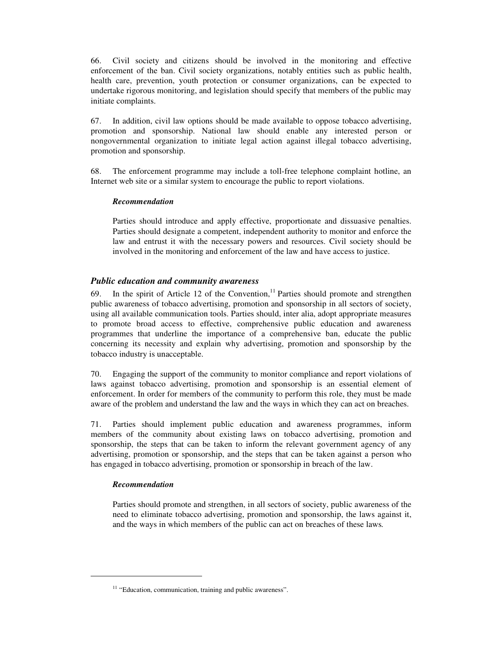66. Civil society and citizens should be involved in the monitoring and effective enforcement of the ban. Civil society organizations, notably entities such as public health, health care, prevention, youth protection or consumer organizations, can be expected to undertake rigorous monitoring, and legislation should specify that members of the public may initiate complaints.

67. In addition, civil law options should be made available to oppose tobacco advertising, promotion and sponsorship. National law should enable any interested person or nongovernmental organization to initiate legal action against illegal tobacco advertising, promotion and sponsorship.

68. The enforcement programme may include a toll-free telephone complaint hotline, an Internet web site or a similar system to encourage the public to report violations.

#### *Recommendation*

Parties should introduce and apply effective, proportionate and dissuasive penalties. Parties should designate a competent, independent authority to monitor and enforce the law and entrust it with the necessary powers and resources. Civil society should be involved in the monitoring and enforcement of the law and have access to justice.

## *Public education and community awareness*

69. In the spirit of Article 12 of the Convention,<sup>11</sup> Parties should promote and strengthen public awareness of tobacco advertising, promotion and sponsorship in all sectors of society, using all available communication tools. Parties should, inter alia, adopt appropriate measures to promote broad access to effective, comprehensive public education and awareness programmes that underline the importance of a comprehensive ban, educate the public concerning its necessity and explain why advertising, promotion and sponsorship by the tobacco industry is unacceptable.

70. Engaging the support of the community to monitor compliance and report violations of laws against tobacco advertising, promotion and sponsorship is an essential element of enforcement. In order for members of the community to perform this role, they must be made aware of the problem and understand the law and the ways in which they can act on breaches.

71. Parties should implement public education and awareness programmes, inform members of the community about existing laws on tobacco advertising, promotion and sponsorship, the steps that can be taken to inform the relevant government agency of any advertising, promotion or sponsorship, and the steps that can be taken against a person who has engaged in tobacco advertising, promotion or sponsorship in breach of the law.

## *Recommendation*

-

Parties should promote and strengthen, in all sectors of society, public awareness of the need to eliminate tobacco advertising, promotion and sponsorship, the laws against it, and the ways in which members of the public can act on breaches of these laws*.* 

<sup>&</sup>lt;sup>11</sup> "Education, communication, training and public awareness".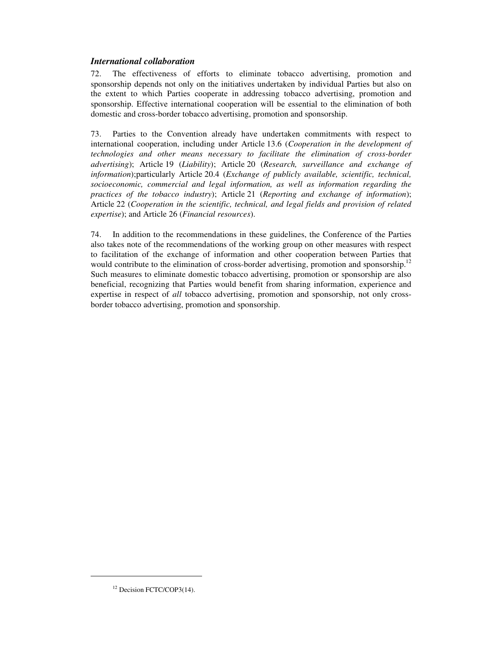## *International collaboration*

72. The effectiveness of efforts to eliminate tobacco advertising, promotion and sponsorship depends not only on the initiatives undertaken by individual Parties but also on the extent to which Parties cooperate in addressing tobacco advertising, promotion and sponsorship. Effective international cooperation will be essential to the elimination of both domestic and cross-border tobacco advertising, promotion and sponsorship.

73. Parties to the Convention already have undertaken commitments with respect to international cooperation, including under Article 13.6 (*Cooperation in the development of technologies and other means necessary to facilitate the elimination of cross-border advertising*); Article 19 (*Liability*); Article 20 (*Research, surveillance and exchange of information*);particularly Article 20.4 (*Exchange of publicly available, scientific, technical, socioeconomic, commercial and legal information, as well as information regarding the practices of the tobacco industry*); Article 21 (*Reporting and exchange of information*); Article 22 (*Cooperation in the scientific, technical, and legal fields and provision of related expertise*); and Article 26 (*Financial resources*).

74. In addition to the recommendations in these guidelines, the Conference of the Parties also takes note of the recommendations of the working group on other measures with respect to facilitation of the exchange of information and other cooperation between Parties that would contribute to the elimination of cross-border advertising, promotion and sponsorship.<sup>12</sup> Such measures to eliminate domestic tobacco advertising, promotion or sponsorship are also beneficial, recognizing that Parties would benefit from sharing information, experience and expertise in respect of *all* tobacco advertising, promotion and sponsorship, not only crossborder tobacco advertising, promotion and sponsorship.

-

<sup>&</sup>lt;sup>12</sup> Decision FCTC/COP3(14).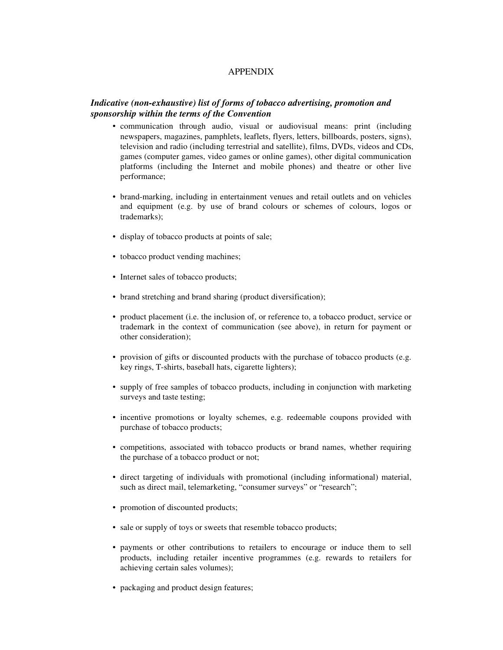## APPENDIX

## *Indicative (non-exhaustive) list of forms of tobacco advertising, promotion and sponsorship within the terms of the Convention*

- communication through audio, visual or audiovisual means: print (including newspapers, magazines, pamphlets, leaflets, flyers, letters, billboards, posters, signs), television and radio (including terrestrial and satellite), films, DVDs, videos and CDs, games (computer games, video games or online games), other digital communication platforms (including the Internet and mobile phones) and theatre or other live performance;
- brand-marking, including in entertainment venues and retail outlets and on vehicles and equipment (e.g. by use of brand colours or schemes of colours, logos or trademarks);
- display of tobacco products at points of sale;
- tobacco product vending machines;
- Internet sales of tobacco products;
- brand stretching and brand sharing (product diversification);
- product placement (i.e. the inclusion of, or reference to, a tobacco product, service or trademark in the context of communication (see above), in return for payment or other consideration);
- provision of gifts or discounted products with the purchase of tobacco products (e.g. key rings, T-shirts, baseball hats, cigarette lighters);
- supply of free samples of tobacco products, including in conjunction with marketing surveys and taste testing;
- incentive promotions or loyalty schemes, e.g. redeemable coupons provided with purchase of tobacco products;
- competitions, associated with tobacco products or brand names, whether requiring the purchase of a tobacco product or not;
- direct targeting of individuals with promotional (including informational) material, such as direct mail, telemarketing, "consumer surveys" or "research";
- promotion of discounted products;
- sale or supply of toys or sweets that resemble tobacco products;
- payments or other contributions to retailers to encourage or induce them to sell products, including retailer incentive programmes (e.g. rewards to retailers for achieving certain sales volumes);
- packaging and product design features;